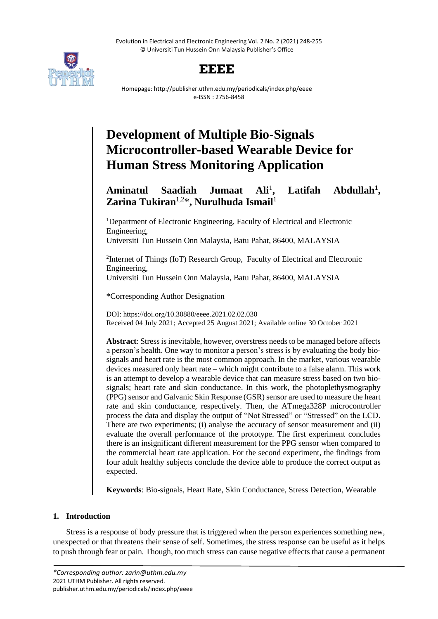Evolution in Electrical and Electronic Engineering Vol. 2 No. 2 (2021) 248-255 © Universiti Tun Hussein Onn Malaysia Publisher's Office



# **EEEE**

Homepage: http://publisher.uthm.edu.my/periodicals/index.php/eeee e-ISSN : 2756-8458

# **Development of Multiple Bio-Signals Microcontroller-based Wearable Device for Human Stress Monitoring Application**

#### **Aminatul Saadiah Jumaat Ali**<sup>1</sup> **, Latifah Abdullah<sup>1</sup> , Zarina Tukiran**1,2\***, Nurulhuda Ismail**<sup>1</sup>

<sup>1</sup>Department of Electronic Engineering, Faculty of Electrical and Electronic Engineering,

Universiti Tun Hussein Onn Malaysia, Batu Pahat, 86400, MALAYSIA

<sup>2</sup>Internet of Things (IoT) Research Group, Faculty of Electrical and Electronic Engineering,

Universiti Tun Hussein Onn Malaysia, Batu Pahat, 86400, MALAYSIA

\*Corresponding Author Designation

DOI: https://doi.org/10.30880/eeee.2021.02.02.030 Received 04 July 2021; Accepted 25 August 2021; Available online 30 October 2021

**Abstract**: Stress is inevitable, however, overstress needs to be managed before affects a person's health. One way to monitor a person's stress is by evaluating the body biosignals and heart rate is the most common approach. In the market, various wearable devices measured only heart rate – which might contribute to a false alarm. This work is an attempt to develop a wearable device that can measure stress based on two biosignals; heart rate and skin conductance. In this work, the photoplethysmography (PPG) sensor and Galvanic Skin Response (GSR) sensor are used to measure the heart rate and skin conductance, respectively. Then, the ATmega328P microcontroller process the data and display the output of "Not Stressed" or "Stressed" on the LCD. There are two experiments; (i) analyse the accuracy of sensor measurement and (ii) evaluate the overall performance of the prototype. The first experiment concludes there is an insignificant different measurement for the PPG sensor when compared to the commercial heart rate application. For the second experiment, the findings from four adult healthy subjects conclude the device able to produce the correct output as expected.

**Keywords**: Bio-signals, Heart Rate, Skin Conductance, Stress Detection, Wearable

# **1. Introduction**

Stress is a response of body pressure that is triggered when the person experiences something new, unexpected or that threatens their sense of self. Sometimes, the stress response can be useful as it helps to push through fear or pain. Though, too much stress can cause negative effects that cause a permanent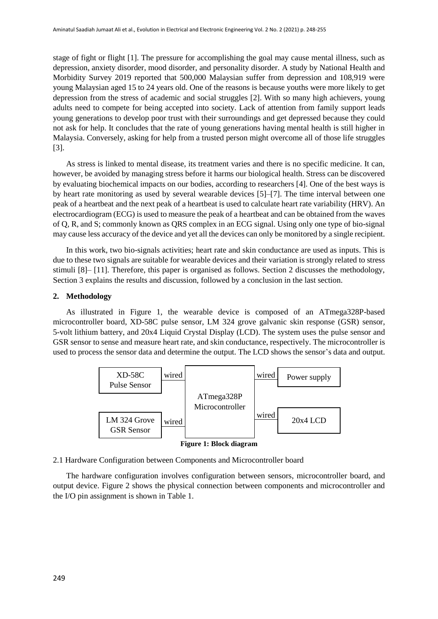stage of fight or flight [1]. The pressure for accomplishing the goal may cause mental illness, such as depression, anxiety disorder, mood disorder, and personality disorder. A study by National Health and Morbidity Survey 2019 reported that 500,000 Malaysian suffer from depression and 108,919 were young Malaysian aged 15 to 24 years old. One of the reasons is because youths were more likely to get depression from the stress of academic and social struggles [2]. With so many high achievers, young adults need to compete for being accepted into society. Lack of attention from family support leads young generations to develop poor trust with their surroundings and get depressed because they could not ask for help. It concludes that the rate of young generations having mental health is still higher in Malaysia. Conversely, asking for help from a trusted person might overcome all of those life struggles [3].

As stress is linked to mental disease, its treatment varies and there is no specific medicine. It can, however, be avoided by managing stress before it harms our biological health. Stress can be discovered by evaluating biochemical impacts on our bodies, according to researchers [4]. One of the best ways is by heart rate monitoring as used by several wearable devices [5]–[7]. The time interval between one peak of a heartbeat and the next peak of a heartbeat is used to calculate heart rate variability (HRV). An electrocardiogram (ECG) is used to measure the peak of a heartbeat and can be obtained from the waves of Q, R, and S; commonly known as QRS complex in an ECG signal. Using only one type of bio-signal may cause less accuracy of the device and yet all the devices can only be monitored by a single recipient.

In this work, two bio-signals activities; heart rate and skin conductance are used as inputs. This is due to these two signals are suitable for wearable devices and their variation is strongly related to stress stimuli [8]– [11]. Therefore, this paper is organised as follows. Section 2 discusses the methodology, Section 3 explains the results and discussion, followed by a conclusion in the last section.

### **2. Methodology**

As illustrated in Figure 1, the wearable device is composed of an ATmega328P-based microcontroller board, XD-58C pulse sensor, LM 324 grove galvanic skin response (GSR) sensor, 5-volt lithium battery, and 20x4 Liquid Crystal Display (LCD). The system uses the pulse sensor and GSR sensor to sense and measure heart rate, and skin conductance, respectively. The microcontroller is used to process the sensor data and determine the output. The LCD shows the sensor's data and output.



**Figure 1: Block diagram**

# 2.1 Hardware Configuration between Components and Microcontroller board

The hardware configuration involves configuration between sensors, microcontroller board, and output device. Figure 2 shows the physical connection between components and microcontroller and the I/O pin assignment is shown in Table 1.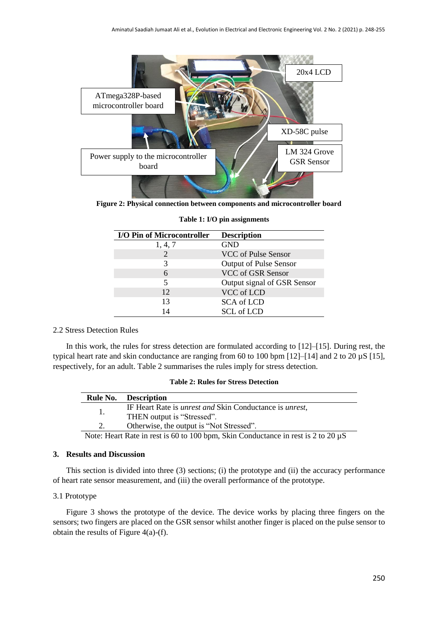

**Figure 2: Physical connection between components and microcontroller board**

| <b>I/O Pin of Microcontroller</b> | <b>Description</b>            |
|-----------------------------------|-------------------------------|
| 1, 4, 7                           | <b>GND</b>                    |
| 2                                 | VCC of Pulse Sensor           |
| 3                                 | <b>Output of Pulse Sensor</b> |
| 6                                 | VCC of GSR Sensor             |
| 5                                 | Output signal of GSR Sensor   |
| 12                                | VCC of LCD                    |
| 13                                | <b>SCA</b> of LCD             |
| 14                                | <b>SCL</b> of LCD             |

|  |  | Table 1: I/O pin assignments |
|--|--|------------------------------|
|--|--|------------------------------|

### 2.2 Stress Detection Rules

In this work, the rules for stress detection are formulated according to [12]–[15]. During rest, the typical heart rate and skin conductance are ranging from 60 to 100 bpm [12]–[14] and 2 to 20 µS [15], respectively, for an adult. Table 2 summarises the rules imply for stress detection.

|  |  |  |  | <b>Table 2: Rules for Stress Detection</b> |
|--|--|--|--|--------------------------------------------|
|--|--|--|--|--------------------------------------------|

| <b>Rule No.</b> Description                                                            |
|----------------------------------------------------------------------------------------|
| IF Heart Rate is <i>unrest and</i> Skin Conductance is <i>unrest</i> ,                 |
| THEN output is "Stressed".                                                             |
| Otherwise, the output is "Not Stressed".                                               |
| Note: Heart Rate in rest is 60 to 100 hpm. Skin Conductance in rest is 2 to 20 $\mu$ S |

Note: Heart Rate in rest is 60 to 100 bpm, Skin Conductance in rest is 2 to 20  $\mu$ S

# **3. Results and Discussion**

This section is divided into three (3) sections; (i) the prototype and (ii) the accuracy performance of heart rate sensor measurement, and (iii) the overall performance of the prototype.

### 3.1 Prototype

Figure 3 shows the prototype of the device. The device works by placing three fingers on the sensors; two fingers are placed on the GSR sensor whilst another finger is placed on the pulse sensor to obtain the results of Figure 4(a)-(f).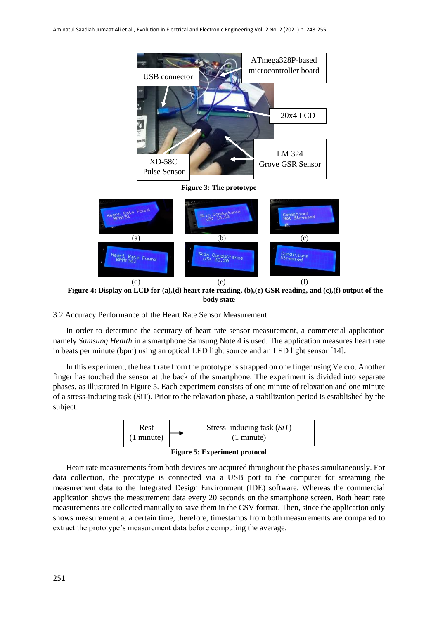

**Figure 3: The prototype**



**Figure 4: Display on LCD for (a),(d) heart rate reading, (b),(e) GSR reading, and (c),(f) output of the body state**

#### 3.2 Accuracy Performance of the Heart Rate Sensor Measurement

In order to determine the accuracy of heart rate sensor measurement, a commercial application namely *Samsung Health* in a smartphone Samsung Note 4 is used. The application measures heart rate in beats per minute (bpm) using an optical LED light source and an LED light sensor [14].

In this experiment, the heart rate from the prototype is strapped on one finger using Velcro. Another finger has touched the sensor at the back of the smartphone. The experiment is divided into separate phases, as illustrated in Figure 5. Each experiment consists of one minute of relaxation and one minute of a stress-inducing task (SiT). Prior to the relaxation phase, a stabilization period is established by the subject.



**Figure 5: Experiment protocol**

Heart rate measurements from both devices are acquired throughout the phases simultaneously. For data collection, the prototype is connected via a USB port to the computer for streaming the measurement data to the Integrated Design Environment (IDE) software. Whereas the commercial application shows the measurement data every 20 seconds on the smartphone screen. Both heart rate measurements are collected manually to save them in the CSV format. Then, since the application only shows measurement at a certain time, therefore, timestamps from both measurements are compared to extract the prototype's measurement data before computing the average.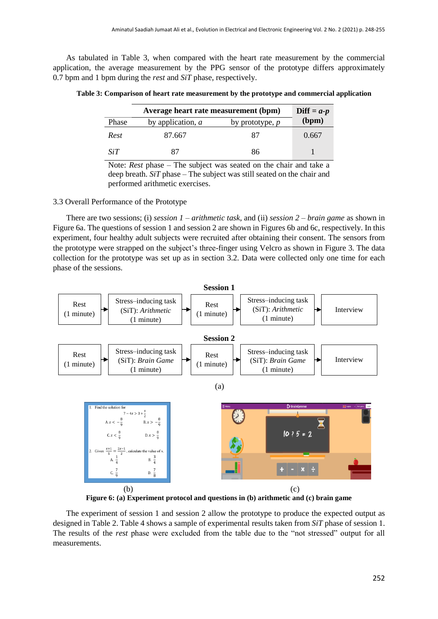As tabulated in Table 3, when compared with the heart rate measurement by the commercial application, the average measurement by the PPG sensor of the prototype differs approximately 0.7 bpm and 1 bpm during the *rest* and *SiT* phase, respectively.

| Table 3: Comparison of heart rate measurement by the prototype and commercial application |  |  |  |
|-------------------------------------------------------------------------------------------|--|--|--|
|-------------------------------------------------------------------------------------------|--|--|--|

|       | Diff = $a-p$        |                   |       |
|-------|---------------------|-------------------|-------|
| Phase | by application, $a$ | by prototype, $p$ | (bpm) |
| Rest  | 87.667              | 87                | 0.667 |
| SiT   | 87                  | 86                |       |

Note: *Rest* phase – The subject was seated on the chair and take a deep breath. *SiT* phase – The subject was still seated on the chair and performed arithmetic exercises.

# 3.3 Overall Performance of the Prototype

There are two sessions; (i) *session 1* – *arithmetic task*, and (ii) *session 2* – *brain game* as shown in Figure 6a. The questions of session 1 and session 2 are shown in Figures 6b and 6c, respectively. In this experiment, four healthy adult subjects were recruited after obtaining their consent. The sensors from the prototype were strapped on the subject's three-finger using Velcro as shown in Figure 3. The data collection for the prototype was set up as in section 3.2. Data were collected only one time for each phase of the sessions.



**Figure 6: (a) Experiment protocol and questions in (b) arithmetic and (c) brain game**

The experiment of session 1 and session 2 allow the prototype to produce the expected output as designed in Table 2. Table 4 shows a sample of experimental results taken from *SiT* phase of session 1. The results of the *rest* phase were excluded from the table due to the "not stressed" output for all measurements.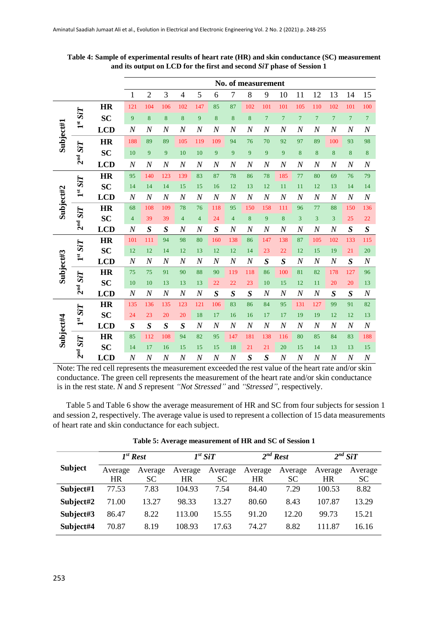|                      |                               |            |                         | No. of measurement |                  |                  |                         |                  |                         |                  |                  |                  |                  |                  |                  |                  |                  |
|----------------------|-------------------------------|------------|-------------------------|--------------------|------------------|------------------|-------------------------|------------------|-------------------------|------------------|------------------|------------------|------------------|------------------|------------------|------------------|------------------|
|                      |                               |            | $\mathbf{1}$            | $\overline{2}$     | 3                | $\overline{4}$   | 5                       | 6                | $\overline{7}$          | $8\,$            | 9                | 10               | 11               | 12               | 13               | 14               | 15               |
|                      |                               | <b>HR</b>  | 121                     | 104                | 106              | 102              | 147                     | 85               | 87                      | 102              | 101              | 101              | 105              | 110              | 102              | 101              | 100              |
|                      | $1^{st}$ SiT                  | <b>SC</b>  | 9                       | $\bf 8$            | 8                | $\bf 8$          | 9                       | $\bf 8$          | $\bf 8$                 | $\bf 8$          | $\overline{7}$   | $\overline{7}$   | $\overline{7}$   | $\overline{7}$   | $\overline{7}$   | $\overline{7}$   | $\overline{7}$   |
|                      |                               | <b>LCD</b> | $\boldsymbol{N}$        | $\boldsymbol{N}$   | $\boldsymbol{N}$ | $\boldsymbol{N}$ | $\boldsymbol{N}$        | $\boldsymbol{N}$ | $\boldsymbol{N}$        | $\boldsymbol{N}$ | $\boldsymbol{N}$ | $\boldsymbol{N}$ | $\boldsymbol{N}$ | $\boldsymbol{N}$ | $\boldsymbol{N}$ | $\boldsymbol{N}$ | $\boldsymbol{N}$ |
| $\textbf{Subject#1}$ |                               | <b>HR</b>  | 188                     | 89                 | 89               | 105              | 119                     | 109              | 94                      | 76               | 70               | 92               | 97               | 89               | 100              | 93               | 98               |
|                      | <b>SiT</b>                    | <b>SC</b>  | 10                      | 9                  | 9                | 10               | 10                      | 9                | 9                       | 9                | 9                | 9                | 8                | 8                | 8                | 8                | 8                |
|                      | 2 <sup>nd</sup>               | <b>LCD</b> | $\boldsymbol{N}$        | $\boldsymbol{N}$   | $\boldsymbol{N}$ | $\boldsymbol{N}$ | $\boldsymbol{N}$        | $\boldsymbol{N}$ | $\boldsymbol{N}$        | $\boldsymbol{N}$ | $\overline{N}$   | $\boldsymbol{N}$ | $\boldsymbol{N}$ | $\boldsymbol{N}$ | $\overline{N}$   | $\overline{N}$   | $\boldsymbol{N}$ |
|                      |                               | <b>HR</b>  | 95                      | 140                | 123              | 139              | 83                      | 87               | 78                      | 86               | 78               | 185              | 77               | 80               | 69               | 76               | 79               |
|                      | <b>SiT</b>                    | <b>SC</b>  | 14                      | 14                 | 14               | 15               | 15                      | 16               | 12                      | 13               | 12               | 11               | 11               | 12               | 13               | 14               | 14               |
|                      | $\mathbf{1}^{\mathrm{st}}$    | <b>LCD</b> | $\boldsymbol{N}$        | $\boldsymbol{N}$   | $\boldsymbol{N}$ | $\cal N$         | $\boldsymbol{N}$        | $\boldsymbol{N}$ | $\boldsymbol{N}$        | $\boldsymbol{N}$ | $\boldsymbol{N}$ | $\boldsymbol{N}$ | $\boldsymbol{N}$ | $\boldsymbol{N}$ | $\boldsymbol{N}$ | $\boldsymbol{N}$ | $\boldsymbol{N}$ |
| Subject#2            | <b>SiT</b><br>2 <sup>nd</sup> | <b>HR</b>  | 68                      | 108                | 109              | 78               | 76                      | 118              | 95                      | 150              | 158              | 111              | 96               | 77               | 88               | 150              | 136              |
|                      |                               | <b>SC</b>  | $\overline{\mathbf{4}}$ | 39                 | 39               | $\overline{4}$   | $\overline{\mathbf{4}}$ | 24               | $\overline{\mathbf{4}}$ | 8                | 9                | 8                | 3                | $\overline{3}$   | 3                | 25               | 22               |
|                      |                               | <b>LCD</b> | $\boldsymbol{N}$        | $\boldsymbol{S}$   | $\boldsymbol{S}$ | $\boldsymbol{N}$ | $\boldsymbol{N}$        | $\boldsymbol{S}$ | $\boldsymbol{N}$        | $\boldsymbol{N}$ | $\boldsymbol{N}$ | $\boldsymbol{N}$ | $\boldsymbol{N}$ | $\boldsymbol{N}$ | $\boldsymbol{N}$ | $\boldsymbol{S}$ | $\boldsymbol{S}$ |
|                      | SiT                           | <b>HR</b>  | 101                     | 111                | 94               | 98               | 80                      | 160              | 138                     | 86               | 147              | 138              | 87               | 105              | 102              | 133              | 115              |
|                      | $\mathbf{I}^{\mathrm{st}}$    | <b>SC</b>  | 12                      | 12                 | 14               | 12               | 13                      | 12               | 12                      | 14               | 23               | 22               | 12               | 15               | 19               | 21               | 20               |
|                      |                               | <b>LCD</b> | $\boldsymbol{N}$        | $\boldsymbol{N}$   | $\boldsymbol{N}$ | $\cal N$         | $\boldsymbol{N}$        | $\boldsymbol{N}$ | $\cal N$                | $\boldsymbol{N}$ | $\boldsymbol{S}$ | $\boldsymbol{S}$ | $\boldsymbol{N}$ | $\boldsymbol{N}$ | $\boldsymbol{N}$ | $\boldsymbol{S}$ | $\boldsymbol{N}$ |
| Subject#3            | <b>SiT</b>                    | <b>HR</b>  | 75                      | 75                 | 91               | 90               | 88                      | 90               | 119                     | 118              | 86               | 100              | 81               | 82               | 178              | 127              | 96               |
|                      | $2nd$ .                       | <b>SC</b>  | 10                      | 10                 | 13               | 13               | 13                      | $22\,$           | 22                      | 23               | 10               | 15               | 12               | 11               | 20               | 20               | 13               |
|                      |                               | <b>LCD</b> | $\boldsymbol{N}$        | $\cal N$           | $\cal N$         | $\cal N$         | $\cal N$                | $\boldsymbol{S}$ | $\boldsymbol{S}$        | $\boldsymbol{S}$ | $\boldsymbol{N}$ | $\boldsymbol{N}$ | $\boldsymbol{N}$ | $\boldsymbol{N}$ | $\boldsymbol{S}$ | $\boldsymbol{S}$ | $\boldsymbol{N}$ |
|                      | <b>SiT</b>                    | <b>HR</b>  | 135                     | 136                | 135              | 123              | 121                     | 106              | 83                      | 86               | 84               | 95               | 131              | 127              | 99               | 91               | 82               |
|                      | $\mathbf{I}^{\mathrm{st}}$    | <b>SC</b>  | 24                      | 23                 | 20               | 20               | 18                      | 17               | 16                      | 16               | 17               | 17               | 19               | 19               | 12               | 12               | 13               |
|                      |                               | <b>LCD</b> | $\boldsymbol{S}$        | $\boldsymbol{S}$   | $\boldsymbol{S}$ | $\boldsymbol{S}$ | $\boldsymbol{N}$        | $\boldsymbol{N}$ | $\boldsymbol{N}$        | $\boldsymbol{N}$ | $\boldsymbol{N}$ | $\boldsymbol{N}$ | $\boldsymbol{N}$ | $\boldsymbol{N}$ | $\boldsymbol{N}$ | $\boldsymbol{N}$ | $\boldsymbol{N}$ |
| $\textbf{Subject4}$  |                               | <b>HR</b>  | 85                      | 112                | 108              | 94               | 82                      | 95               | 147                     | 181              | 138              | 116              | 80               | 85               | 84               | 83               | 188              |
|                      | 2 <sup>nd</sup> SiT           | <b>SC</b>  | 14                      | 17                 | 16               | 15               | 15                      | 15               | 18                      | 21               | 21               | 20               | 15               | 14               | 13               | 13               | 15               |
|                      |                               | <b>LCD</b> | $\overline{N}$          | $\overline{N}$     | $\overline{N}$   | $\boldsymbol{N}$ | $\boldsymbol{N}$        | $\boldsymbol{N}$ | $\overline{N}$          | S                | $\overline{S}$   | N                | $\boldsymbol{N}$ | $\boldsymbol{N}$ | $\overline{N}$   | $\overline{N}$   | $\boldsymbol{N}$ |

**Table 4: Sample of experimental results of heart rate (HR) and skin conductance (SC) measurement and its output on LCD for the first and second** *SiT* **phase of Session 1**

Note: The red cell represents the measurement exceeded the rest value of the heart rate and/or skin conductance. The green cell represents the measurement of the heart rate and/or skin conductance is in the rest state. *N* and *S* represent *"Not Stressed"* and *"Stressed"*, respectively.

Table 5 and Table 6 show the average measurement of HR and SC from four subjects for session 1 and session 2, respectively. The average value is used to represent a collection of 15 data measurements of heart rate and skin conductance for each subject.

|                |                      | $I^{st}$ Rest        |               | $I^{st}$ SiT         |                      | $2^{nd}$ Rest        | $2^{nd}$ SiT         |                      |  |
|----------------|----------------------|----------------------|---------------|----------------------|----------------------|----------------------|----------------------|----------------------|--|
| <b>Subject</b> | Average<br><b>HR</b> | Average<br><b>SC</b> | Average<br>HR | Average<br><b>SC</b> | Average<br><b>HR</b> | Average<br><b>SC</b> | Average<br><b>HR</b> | Average<br><b>SC</b> |  |
| Subject#1      | 77.53                | 7.83                 | 104.93        | 7.54                 | 84.40                | 7.29                 | 100.53               | 8.82                 |  |
| Subject#2      | 71.00                | 13.27                | 98.33         | 13.27                | 80.60                | 8.43                 | 107.87               | 13.29                |  |
| Subject#3      | 86.47                | 8.22                 | 113.00        | 15.55                | 91.20                | 12.20                | 99.73                | 15.21                |  |
| Subject#4      | 70.87                | 8.19                 | 108.93        | 17.63                | 74.27                | 8.82                 | 111.87               | 16.16                |  |

|  |  |  |  | Table 5: Average measurement of HR and SC of Session 1 |  |
|--|--|--|--|--------------------------------------------------------|--|
|  |  |  |  |                                                        |  |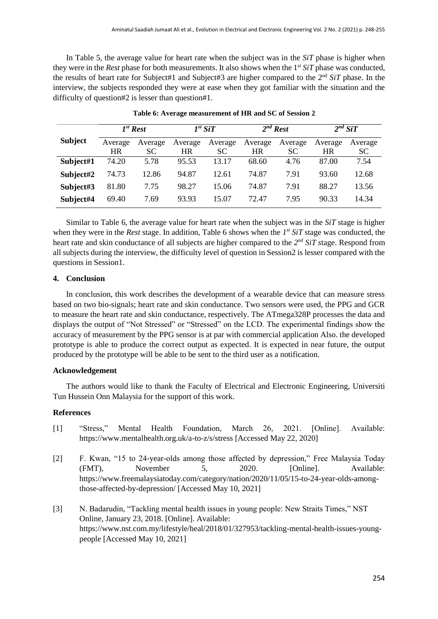In Table 5, the average value for heart rate when the subject was in the *SiT* phase is higher when they were in the *Rest* phase for both measurements. It also shows when the 1<sup>st</sup> SiT phase was conducted, the results of heart rate for Subject#1 and Subject#3 are higher compared to the 2 nd *SiT* phase. In the interview, the subjects responded they were at ease when they got familiar with the situation and the difficulty of question#2 is lesser than question#1.

|                |         | $I^{st}$ Rest | $I^{st}$ SiT |         | $2^{nd}$ Rest |         | $2^{nd}$ SiT |         |  |
|----------------|---------|---------------|--------------|---------|---------------|---------|--------------|---------|--|
| <b>Subject</b> | Average | Average       | Average      | Average | Average       | Average | Average      | Average |  |
|                | HR      | SC            | <b>HR</b>    | SC      | HR            | SC      | <b>HR</b>    | SC.     |  |
| Subject#1      | 74.20   | 5.78          | 95.53        | 13.17   | 68.60         | 4.76    | 87.00        | 7.54    |  |
| Subject#2      | 74.73   | 12.86         | 94.87        | 12.61   | 74.87         | 7.91    | 93.60        | 12.68   |  |
| Subject#3      | 81.80   | 7.75          | 98.27        | 15.06   | 74.87         | 7.91    | 88.27        | 13.56   |  |
| Subject#4      | 69.40   | 7.69          | 93.93        | 15.07   | 72.47         | 7.95    | 90.33        | 14.34   |  |

**Table 6: Average measurement of HR and SC of Session 2**

Similar to Table 6, the average value for heart rate when the subject was in the *SiT* stage is higher when they were in the *Rest* stage. In addition, Table 6 shows when the  $I<sup>st</sup> SiT$  stage was conducted, the heart rate and skin conductance of all subjects are higher compared to the  $2^{nd}$  *SiT stage*. Respond from all subjects during the interview, the difficulty level of question in Session2 is lesser compared with the questions in Session1.

#### **4. Conclusion**

In conclusion, this work describes the development of a wearable device that can measure stress based on two bio-signals; heart rate and skin conductance. Two sensors were used, the PPG and GCR to measure the heart rate and skin conductance, respectively. The ATmega328P processes the data and displays the output of "Not Stressed" or "Stressed" on the LCD. The experimental findings show the accuracy of measurement by the PPG sensor is at par with commercial application Also. the developed prototype is able to produce the correct output as expected. It is expected in near future, the output produced by the prototype will be able to be sent to the third user as a notification.

#### **Acknowledgement**

The authors would like to thank the Faculty of Electrical and Electronic Engineering, Universiti Tun Hussein Onn Malaysia for the support of this work.

#### **References**

- [1] "Stress," Mental Health Foundation, March 26, 2021. [Online]. Available: https://www.mentalhealth.org.uk/a-to-z/s/stress [Accessed May 22, 2020]
- [2] F. Kwan, "15 to 24-year-olds among those affected by depression," Free Malaysia Today (FMT), November 5, 2020. [Online]. Available: https://www.freemalaysiatoday.com/category/nation/2020/11/05/15-to-24-year-olds-amongthose-affected-by-depression/ [Accessed May 10, 2021]
- [3] N. Badarudin, "Tackling mental health issues in young people: New Straits Times," NST Online, January 23, 2018. [Online]. Available: https://www.nst.com.my/lifestyle/heal/2018/01/327953/tackling-mental-health-issues-youngpeople [Accessed May 10, 2021]